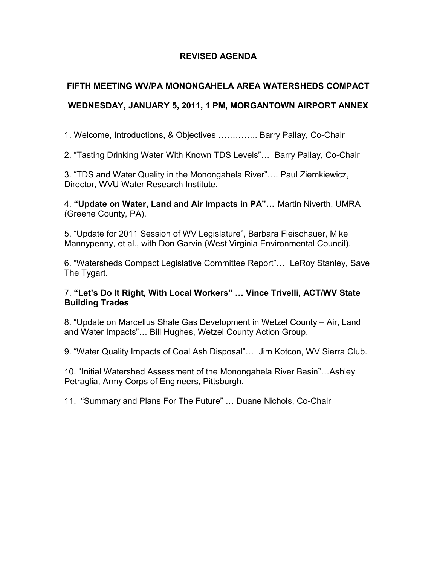### **REVISED AGENDA**

### **FIFTH MEETING WV/PA MONONGAHELA AREA WATERSHEDS COMPACT**

## **WEDNESDAY, JANUARY 5, 2011, 1 PM, MORGANTOWN AIRPORT ANNEX**

1. Welcome, Introductions, & Objectives ………….. Barry Pallay, Co-Chair

2. "Tasting Drinking Water With Known TDS Levels"… Barry Pallay, Co-Chair

3. "TDS and Water Quality in the Monongahela River"…. Paul Ziemkiewicz, Director, WVU Water Research Institute.

4. **"Update on Water, Land and Air Impacts in PA"…** Martin Niverth, UMRA (Greene County, PA).

5. "Update for 2011 Session of WV Legislature", Barbara Fleischauer, Mike Mannypenny, et al., with Don Garvin (West Virginia Environmental Council).

6. "Watersheds Compact Legislative Committee Report"… LeRoy Stanley, Save The Tygart.

#### 7. **"Let's Do It Right, With Local Workers" … Vince Trivelli, ACT/WV State Building Trades**

8. "Update on Marcellus Shale Gas Development in Wetzel County – Air, Land and Water Impacts"… Bill Hughes, Wetzel County Action Group.

9. "Water Quality Impacts of Coal Ash Disposal"… Jim Kotcon, WV Sierra Club.

10. "Initial Watershed Assessment of the Monongahela River Basin"…Ashley Petraglia, Army Corps of Engineers, Pittsburgh.

11. "Summary and Plans For The Future" … Duane Nichols, Co-Chair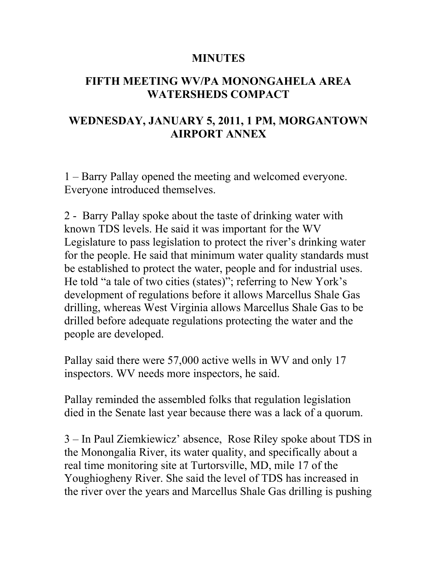## **MINUTES**

## **FIFTH MEETING WV/PA MONONGAHELA AREA WATERSHEDS COMPACT**

# **WEDNESDAY, JANUARY 5, 2011, 1 PM, MORGANTOWN AIRPORT ANNEX**

1 – Barry Pallay opened the meeting and welcomed everyone. Everyone introduced themselves.

2 - Barry Pallay spoke about the taste of drinking water with known TDS levels. He said it was important for the WV Legislature to pass legislation to protect the river's drinking water for the people. He said that minimum water quality standards must be established to protect the water, people and for industrial uses. He told "a tale of two cities (states)"; referring to New York's development of regulations before it allows Marcellus Shale Gas drilling, whereas West Virginia allows Marcellus Shale Gas to be drilled before adequate regulations protecting the water and the people are developed.

Pallay said there were 57,000 active wells in WV and only 17 inspectors. WV needs more inspectors, he said.

Pallay reminded the assembled folks that regulation legislation died in the Senate last year because there was a lack of a quorum.

3 – In Paul Ziemkiewicz' absence, Rose Riley spoke about TDS in the Monongalia River, its water quality, and specifically about a real time monitoring site at Turtorsville, MD, mile 17 of the Youghiogheny River. She said the level of TDS has increased in the river over the years and Marcellus Shale Gas drilling is pushing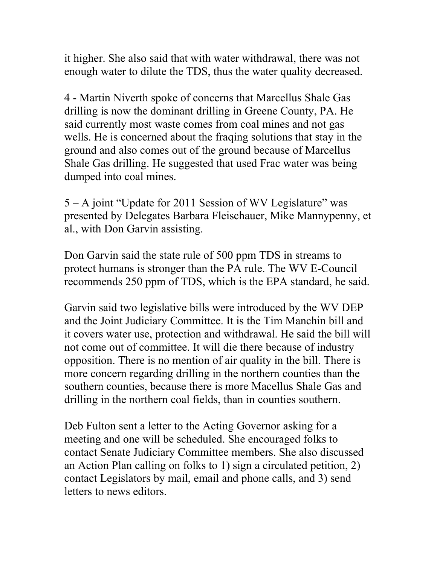it higher. She also said that with water withdrawal, there was not enough water to dilute the TDS, thus the water quality decreased.

4 - Martin Niverth spoke of concerns that Marcellus Shale Gas drilling is now the dominant drilling in Greene County, PA. He said currently most waste comes from coal mines and not gas wells. He is concerned about the fraqing solutions that stay in the ground and also comes out of the ground because of Marcellus Shale Gas drilling. He suggested that used Frac water was being dumped into coal mines.

5 – A joint "Update for 2011 Session of WV Legislature" was presented by Delegates Barbara Fleischauer, Mike Mannypenny, et al., with Don Garvin assisting.

Don Garvin said the state rule of 500 ppm TDS in streams to protect humans is stronger than the PA rule. The WV E-Council recommends 250 ppm of TDS, which is the EPA standard, he said.

Garvin said two legislative bills were introduced by the WV DEP and the Joint Judiciary Committee. It is the Tim Manchin bill and it covers water use, protection and withdrawal. He said the bill will not come out of committee. It will die there because of industry opposition. There is no mention of air quality in the bill. There is more concern regarding drilling in the northern counties than the southern counties, because there is more Macellus Shale Gas and drilling in the northern coal fields, than in counties southern.

Deb Fulton sent a letter to the Acting Governor asking for a meeting and one will be scheduled. She encouraged folks to contact Senate Judiciary Committee members. She also discussed an Action Plan calling on folks to 1) sign a circulated petition, 2) contact Legislators by mail, email and phone calls, and 3) send letters to news editors.